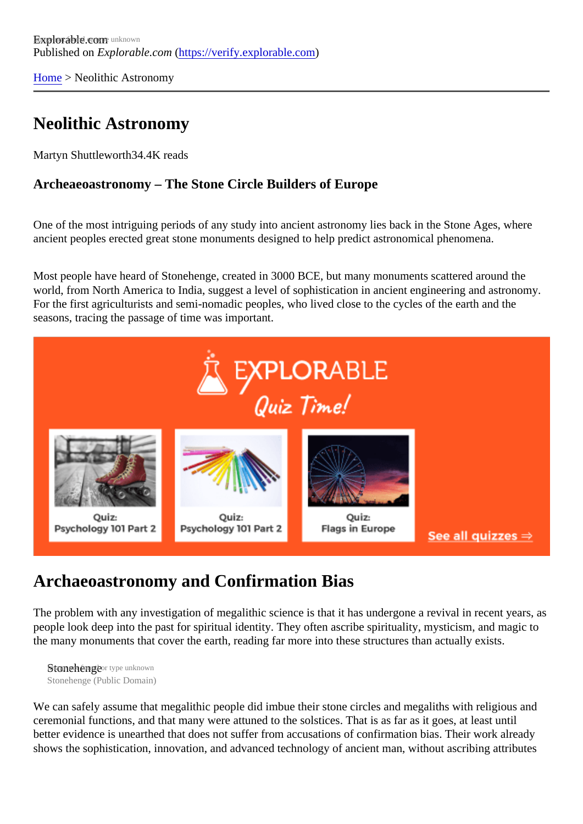[Home](https://verify.explorable.com/) > Neolithic Astronomy

### Neolithic Astronomy

Martyn Shuttlewort<sup>84.4K</sup> reads

Archeaeoastronomy – The Stone Circle Builders of Europe

One of the most intriguing periods of any study into ancient astronomy lies back in the Stone Ages, where ancient peoples erected great stone monuments designed to help predict astronomical phenomena.

Most people have heard of Stonehenge, created in 3000 BCE, but many monuments scattered around the world, from North America to India, suggest a level of sophistication in ancient engineering and astronomy For the first agriculturists and semi-nomadic peoples, who lived close to the cycles of the earth and the seasons, tracing the passage of time was important.

#### Archaeoastronomy and Confirmation Bias

The problem with any investigation of megalithic science is that it has undergone a revival in recent years, people look deep into the past for spiritual identity. They often ascribe spirituality, mysticism, and magic to the many monuments that cover the earth, reading far more into these structures than actually exists.

Stonehenger type unknown Stonehenge (Public Domain)

We can safely assume that megalithic people did imbue their stone circles and megaliths with religious an ceremonial functions, and that many were attuned to the solstices. That is as far as it goes, at least until better evidence is unearthed that does not suffer from accusations of confirmation bias. Their work already shows the sophistication, innovation, and advanced technology of ancient man, without ascribing attribute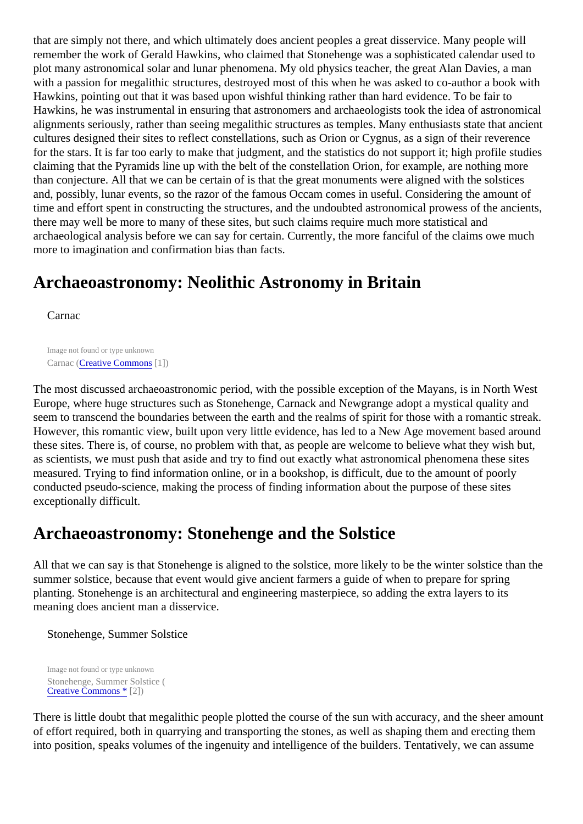that are simply not there, and which ultimately does ancient peoples a great disservice. Many people will remember the work of Gerald Hawkins, who claimed that Stonehenge was a sophisticated calendar used plot many astronomical solar and lunar phenomena. My old physics teacher, the great Alan Davies, a man with a passion for megalithic structures, destroyed most of this when he was asked to co-author a book with Hawkins, pointing out that it was based upon wishful thinking rather than hard evidence. To be fair to Hawkins, he was instrumental in ensuring that astronomers and archaeologists took the idea of astronomically alignments seriously, rather than seeing megalithic structures as temples. Many enthusiasts state that and cultures designed their sites to reflect constellations, such as Orion or Cygnus, as a sign of their reverence for the stars. It is far too early to make that judgment, and the statistics do not support it; high profile studie claiming that the Pyramids line up with the belt of the constellation Orion, for example, are nothing more than conjecture. All that we can be certain of is that the great monuments were aligned with the solstices and, possibly, lunar events, so the razor of the famous Occam comes in useful. Considering the amount of time and effort spent in constructing the structures, and the undoubted astronomical prowess of the ancier there may well be more to many of these sites, but such claims require much more statistical and archaeological analysis before we can say for certain. Currently, the more fanciful of the claims owe much more to imagination and confirmation bias than facts.

# Archaeoastronomy: Neolithic Astronomy in Britain

Carnac

Image not found or type unknown Carnac *Creative Commons*[1])

The most discussed archaeoastronomic period, with the possible exception of the Mayans, is in North We Europe, where huge structures such as Stonehenge, Carnack and Newgrange adopt a mystical quality and seem to transcend the boundaries between the earth and the realms of spirit for those with a romantic stre However, this romantic view, built upon very little evidence, has led to a New Age movement based aroun these sites. There is, of course, no problem with that, as people are welcome to believe what they wish but, as scientists, we must push that aside and try to find out exactly what astronomical phenomena these site measured. Trying to find information online, or in a bookshop, is difficult, due to the amount of poorly conducted pseudo-science, making the process of finding information about the purpose of these sites exceptionally difficult.

#### Archaeoastronomy: Stonehenge and the Solstice

All that we can say is that Stonehenge is aligned to the solstice, more likely to be the winter solstice than t summer solstice, because that event would give ancient farmers a guide of when to prepare for spring planting. Stonehenge is an architectural and engineering masterpiece, so adding the extra layers to its meaning does ancient man a disservice.

Stonehenge, Summer Solstice

Image not found or type unknown Stonehenge, Summer Solstice ( [Creative Commons](http://en.wikipedia.org/wiki/Creative_Commons) [2])

There is little doubt that megalithic people plotted the course of the sun with accuracy, and the sheer amorg of effort required, both in quarrying and transporting the stones, as well as shaping them and erecting them into position, speaks volumes of the ingenuity and intelligence of the builders. Tentatively, we can assume